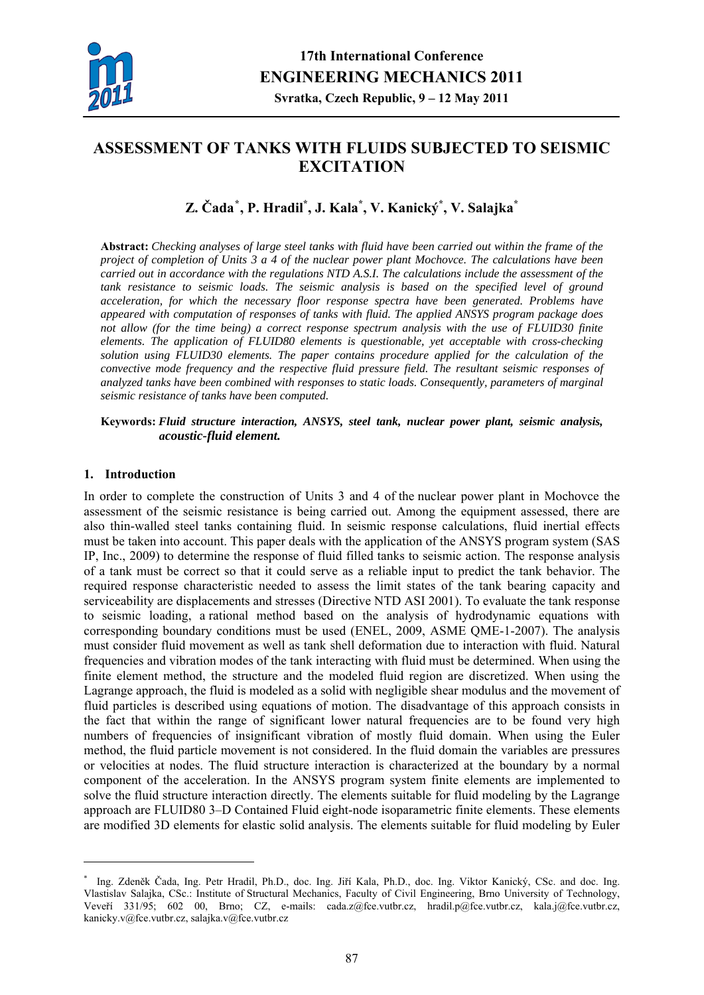

# **ASSESSMENT OF TANKS WITH FLUIDS SUBJECTED TO SEISMIC EXCITATION**

## **Z. Čada[\\*](#page-0-0) , P. Hradil\* , J. Kala\* , V. Kanický\* , V. Salajka\***

**Abstract:** *Checking analyses of large steel tanks with fluid have been carried out within the frame of the project of completion of Units 3 a 4 of the nuclear power plant Mochovce. The calculations have been carried out in accordance with the regulations NTD A.S.I. The calculations include the assessment of the*  tank resistance to seismic loads. The seismic analysis is based on the specified level of ground *acceleration, for which the necessary floor response spectra have been generated. Problems have appeared with computation of responses of tanks with fluid. The applied ANSYS program package does not allow (for the time being) a correct response spectrum analysis with the use of FLUID30 finite elements. The application of FLUID80 elements is questionable, yet acceptable with cross-checking solution using FLUID30 elements. The paper contains procedure applied for the calculation of the convective mode frequency and the respective fluid pressure field. The resultant seismic responses of analyzed tanks have been combined with responses to static loads. Consequently, parameters of marginal seismic resistance of tanks have been computed.* 

#### **Keywords:** *Fluid structure interaction, ANSYS, steel tank, nuclear power plant, seismic analysis, acoustic-fluid element.*

#### **1. Introduction**

1

In order to complete the construction of Units 3 and 4 of the nuclear power plant in Mochovce the assessment of the seismic resistance is being carried out. Among the equipment assessed, there are also thin-walled steel tanks containing fluid. In seismic response calculations, fluid inertial effects must be taken into account. This paper deals with the application of the ANSYS program system (SAS IP, Inc., 2009) to determine the response of fluid filled tanks to seismic action. The response analysis of a tank must be correct so that it could serve as a reliable input to predict the tank behavior. The required response characteristic needed to assess the limit states of the tank bearing capacity and serviceability are displacements and stresses (Directive NTD ASI 2001). To evaluate the tank response to seismic loading, a rational method based on the analysis of hydrodynamic equations with corresponding boundary conditions must be used (ENEL, 2009, ASME QME-1-2007). The analysis must consider fluid movement as well as tank shell deformation due to interaction with fluid. Natural frequencies and vibration modes of the tank interacting with fluid must be determined. When using the finite element method, the structure and the modeled fluid region are discretized. When using the Lagrange approach, the fluid is modeled as a solid with negligible shear modulus and the movement of fluid particles is described using equations of motion. The disadvantage of this approach consists in the fact that within the range of significant lower natural frequencies are to be found very high numbers of frequencies of insignificant vibration of mostly fluid domain. When using the Euler method, the fluid particle movement is not considered. In the fluid domain the variables are pressures or velocities at nodes. The fluid structure interaction is characterized at the boundary by a normal component of the acceleration. In the ANSYS program system finite elements are implemented to solve the fluid structure interaction directly. The elements suitable for fluid modeling by the Lagrange approach are FLUID80 3–D Contained Fluid eight-node isoparametric finite elements. These elements are modified 3D elements for elastic solid analysis. The elements suitable for fluid modeling by Euler

<span id="page-0-0"></span><sup>\*</sup> Ing. Zdeněk Čada, Ing. Petr Hradil, Ph.D., doc. Ing. Jiří Kala, Ph.D., doc. Ing. Viktor Kanický, CSc. and doc. Ing. Vlastislav Salajka, CSc.: Institute of Structural Mechanics, Faculty of Civil Engineering, Brno University of Technology, Veveří 331/95; 602 00, Brno; CZ, e-mails: cada.z@fce.vutbr.cz, hradil.p@fce.vutbr.cz, [kala.j@fce.vutbr.cz](mailto:kala.j@fce.vutbr.cz), kanicky.v@fce.vutbr.cz, salajka.v@fce.vutbr.cz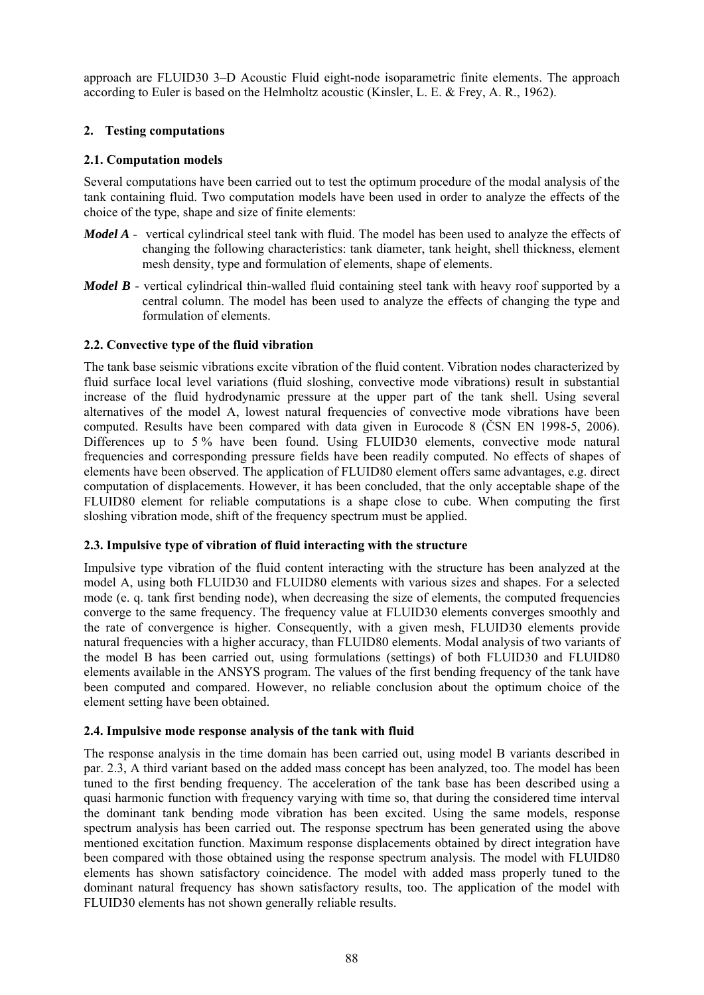approach are FLUID30 3–D Acoustic Fluid eight-node isoparametric finite elements. The approach according to Euler is based on the Helmholtz acoustic (Kinsler, L. E. & Frey, A. R., 1962).

## **2. Testing computations**

## **2.1. Computation models**

Several computations have been carried out to test the optimum procedure of the modal analysis of the tank containing fluid. Two computation models have been used in order to analyze the effects of the choice of the type, shape and size of finite elements:

- *Model A* vertical cylindrical steel tank with fluid. The model has been used to analyze the effects of changing the following characteristics: tank diameter, tank height, shell thickness, element mesh density, type and formulation of elements, shape of elements.
- *Model B* vertical cylindrical thin-walled fluid containing steel tank with heavy roof supported by a central column. The model has been used to analyze the effects of changing the type and formulation of elements.

## **2.2. Convective type of the fluid vibration**

The tank base seismic vibrations excite vibration of the fluid content. Vibration nodes characterized by fluid surface local level variations (fluid sloshing, convective mode vibrations) result in substantial increase of the fluid hydrodynamic pressure at the upper part of the tank shell. Using several alternatives of the model A, lowest natural frequencies of convective mode vibrations have been computed. Results have been compared with data given in Eurocode 8 (ČSN EN 1998-5, 2006). Differences up to 5% have been found. Using FLUID30 elements, convective mode natural frequencies and corresponding pressure fields have been readily computed. No effects of shapes of elements have been observed. The application of FLUID80 element offers same advantages, e.g. direct computation of displacements. However, it has been concluded, that the only acceptable shape of the FLUID80 element for reliable computations is a shape close to cube. When computing the first sloshing vibration mode, shift of the frequency spectrum must be applied.

## **2.3. Impulsive type of vibration of fluid interacting with the structure**

Impulsive type vibration of the fluid content interacting with the structure has been analyzed at the model A, using both FLUID30 and FLUID80 elements with various sizes and shapes. For a selected mode (e. q. tank first bending node), when decreasing the size of elements, the computed frequencies converge to the same frequency. The frequency value at FLUID30 elements converges smoothly and the rate of convergence is higher. Consequently, with a given mesh, FLUID30 elements provide natural frequencies with a higher accuracy, than FLUID80 elements. Modal analysis of two variants of the model B has been carried out, using formulations (settings) of both FLUID30 and FLUID80 elements available in the ANSYS program. The values of the first bending frequency of the tank have been computed and compared. However, no reliable conclusion about the optimum choice of the element setting have been obtained.

## **2.4. Impulsive mode response analysis of the tank with fluid**

The response analysis in the time domain has been carried out, using model B variants described in par. 2.3, A third variant based on the added mass concept has been analyzed, too. The model has been tuned to the first bending frequency. The acceleration of the tank base has been described using a quasi harmonic function with frequency varying with time so, that during the considered time interval the dominant tank bending mode vibration has been excited. Using the same models, response spectrum analysis has been carried out. The response spectrum has been generated using the above mentioned excitation function. Maximum response displacements obtained by direct integration have been compared with those obtained using the response spectrum analysis. The model with FLUID80 elements has shown satisfactory coincidence. The model with added mass properly tuned to the dominant natural frequency has shown satisfactory results, too. The application of the model with FLUID30 elements has not shown generally reliable results.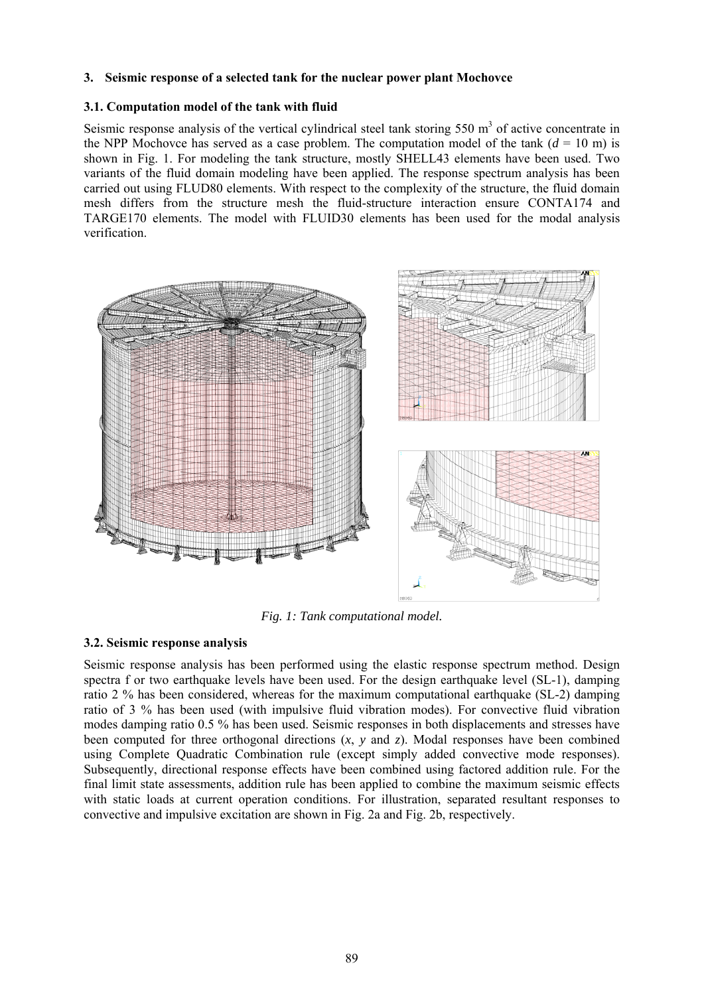#### **3. Seismic response of a selected tank for the nuclear power plant Mochovce**

#### **3.1. Computation model of the tank with fluid**

Seismic response analysis of the vertical cylindrical steel tank storing  $550 \text{ m}^3$  of active concentrate in the NPP Mochovce has served as a case problem. The computation model of the tank  $(d = 10 \text{ m})$  is shown in Fig. 1. For modeling the tank structure, mostly SHELL43 elements have been used. Two variants of the fluid domain modeling have been applied. The response spectrum analysis has been carried out using FLUD80 elements. With respect to the complexity of the structure, the fluid domain mesh differs from the structure mesh the fluid-structure interaction ensure CONTA174 and TARGE170 elements. The model with FLUID30 elements has been used for the modal analysis verification.



*Fig. 1: Tank computational model.* 

## **3.2. Seismic response analysis**

Seismic response analysis has been performed using the elastic response spectrum method. Design spectra f or two earthquake levels have been used. For the design earthquake level (SL-1), damping ratio 2 % has been considered, whereas for the maximum computational earthquake (SL-2) damping ratio of 3 % has been used (with impulsive fluid vibration modes). For convective fluid vibration modes damping ratio 0.5 % has been used. Seismic responses in both displacements and stresses have been computed for three orthogonal directions  $(x, y, z)$  and  $(z)$ . Modal responses have been combined using Complete Quadratic Combination rule (except simply added convective mode responses). Subsequently, directional response effects have been combined using factored addition rule. For the final limit state assessments, addition rule has been applied to combine the maximum seismic effects with static loads at current operation conditions. For illustration, separated resultant responses to convective and impulsive excitation are shown in Fig. 2a and Fig. 2b, respectively.